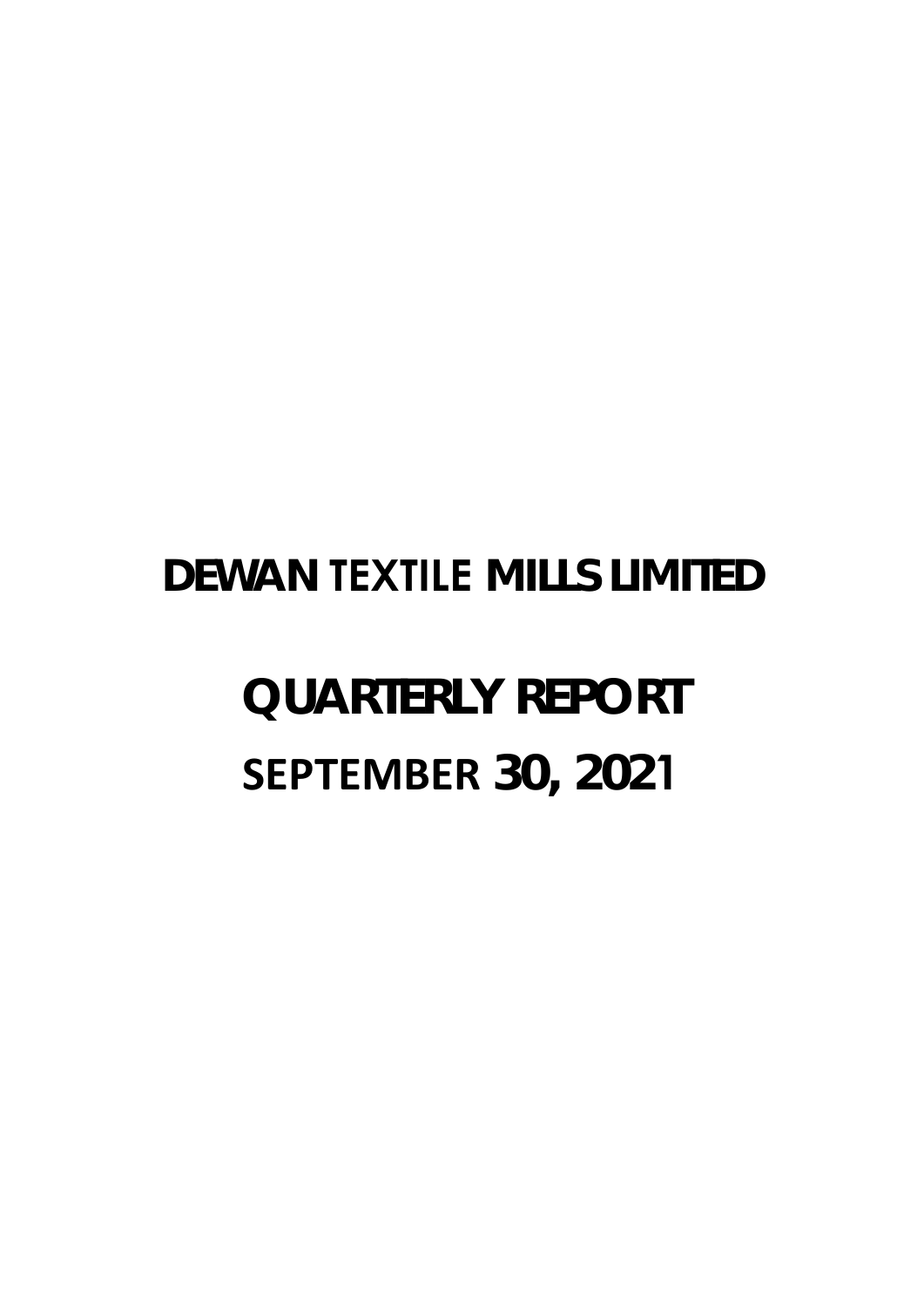# **DEWAN TEXTILE MILLS LIMITED**

# **QUARTERLY REPORT SEPTEMBER 30, 2021**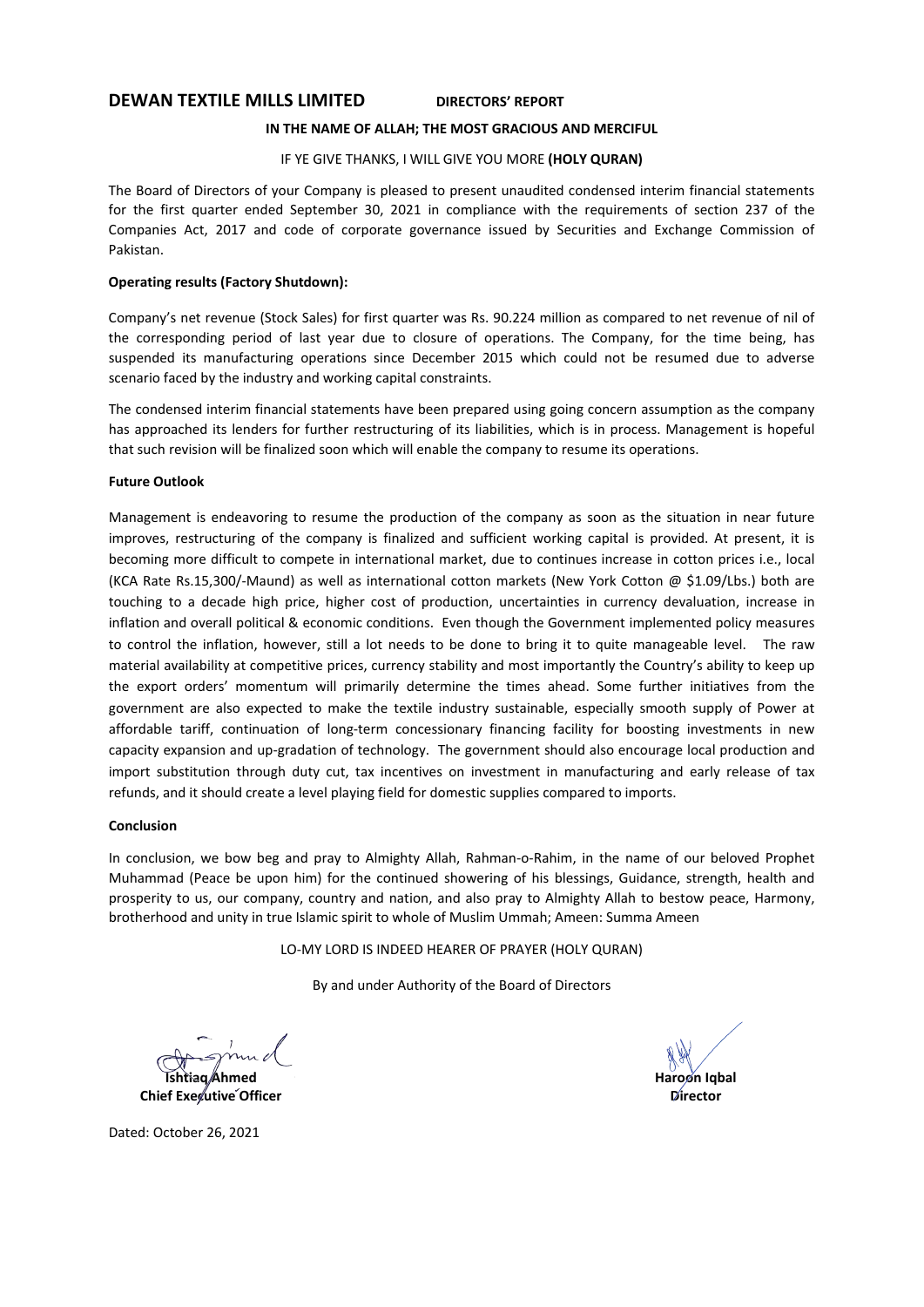# **DEWAN TEXTILE MILLS LIMITED DIRECTORS' REPORT**

# **IN THE NAME OF ALLAH; THE MOST GRACIOUS AND MERCIFUL**

# IF YE GIVE THANKS, I WILL GIVE YOU MORE **(HOLY QURAN)**

The Board of Directors of your Company is pleased to present unaudited condensed interim financial statements for the first quarter ended September 30, 2021 in compliance with the requirements of section 237 of the Companies Act, 2017 and code of corporate governance issued by Securities and Exchange Commission of Pakistan.

# **Operating results (Factory Shutdown):**

Company's net revenue (Stock Sales) for first quarter was Rs. 90.224 million as compared to net revenue of nil of the corresponding period of last year due to closure of operations. The Company, for the time being, has suspended its manufacturing operations since December 2015 which could not be resumed due to adverse scenario faced by the industry and working capital constraints.

The condensed interim financial statements have been prepared using going concern assumption as the company has approached its lenders for further restructuring of its liabilities, which is in process. Management is hopeful that such revision will be finalized soon which will enable the company to resume its operations.

# **Future Outlook**

Management is endeavoring to resume the production of the company as soon as the situation in near future improves, restructuring of the company is finalized and sufficient working capital is provided. At present, it is becoming more difficult to compete in international market, due to continues increase in cotton prices i.e., local (KCA Rate Rs.15,300/‐Maund) as well as international cotton markets (New York Cotton @ \$1.09/Lbs.) both are touching to a decade high price, higher cost of production, uncertainties in currency devaluation, increase in inflation and overall political & economic conditions. Even though the Government implemented policy measures to control the inflation, however, still a lot needs to be done to bring it to quite manageable level. The raw material availability at competitive prices, currency stability and most importantly the Country's ability to keep up the export orders' momentum will primarily determine the times ahead. Some further initiatives from the government are also expected to make the textile industry sustainable, especially smooth supply of Power at affordable tariff, continuation of long-term concessionary financing facility for boosting investments in new capacity expansion and up‐gradation of technology. The government should also encourage local production and import substitution through duty cut, tax incentives on investment in manufacturing and early release of tax refunds, and it should create a level playing field for domestic supplies compared to imports.

#### **Conclusion**

In conclusion, we bow beg and pray to Almighty Allah, Rahman-o-Rahim, in the name of our beloved Prophet Muhammad (Peace be upon him) for the continued showering of his blessings, Guidance, strength, health and prosperity to us, our company, country and nation, and also pray to Almighty Allah to bestow peace, Harmony, brotherhood and unity in true Islamic spirit to whole of Muslim Ummah; Ameen: Summa Ameen

LO‐MY LORD IS INDEED HEARER OF PRAYER (HOLY QURAN)

By and under Authority of the Board of Directors

**Ishtiaq Ahmed** 

**Chief Executive Officer** 

**Haroon Iqbal Director** 

Dated: October 26, 2021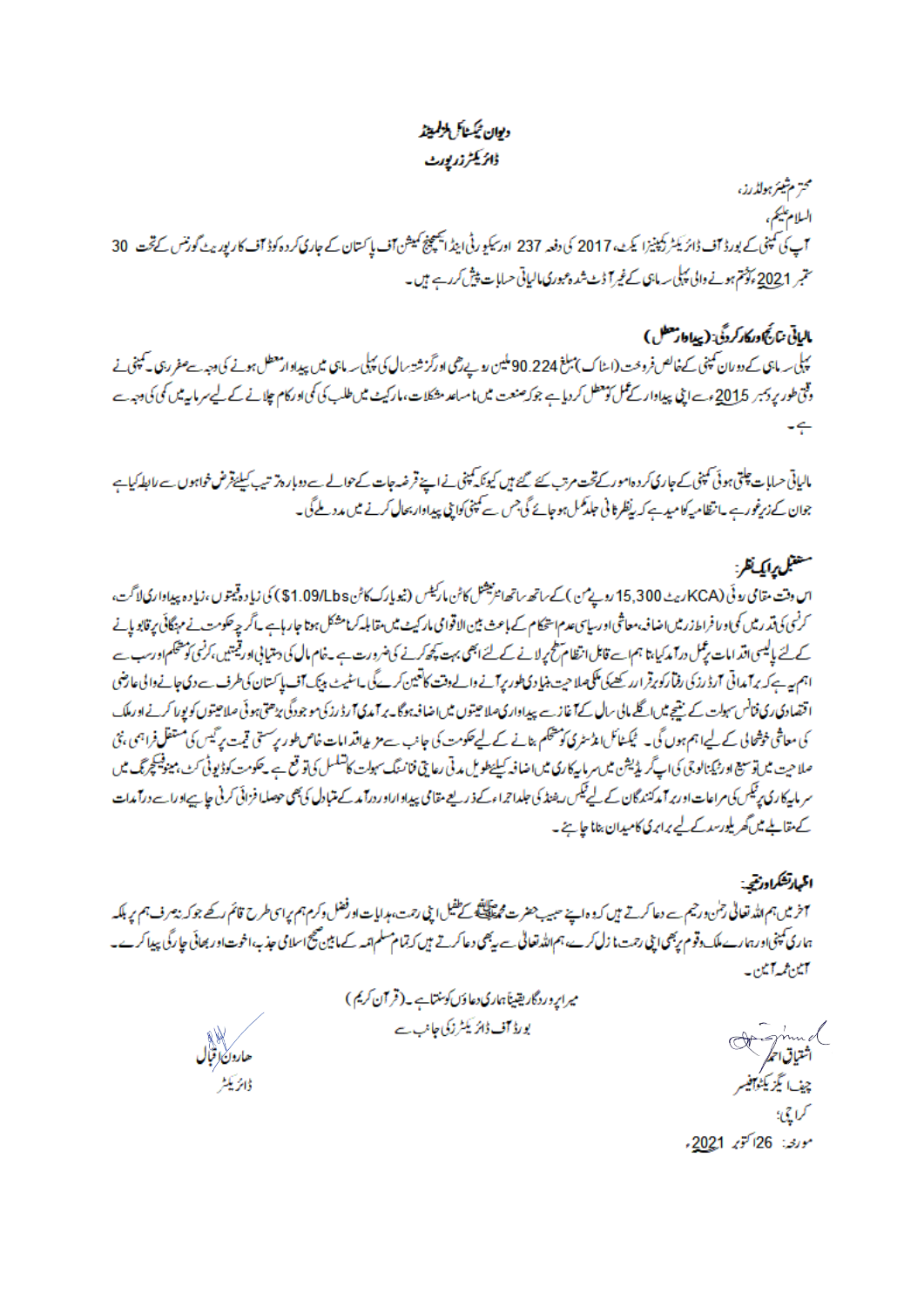# ديوان ثبكشاش لزلميتذ ڈائریکٹرزر پورٹ

محتر مشيئر هولڈرز، السلام عليم، <del>م</del> ہے کہ کہنی کے بورڈ آف ڈائریکٹر دکپنیزا یکٹ، 2017 کی دفعہ 237 اور کیو رٹی اینڈ ایکسچینج کمیشن آف پاکستان کے جاری کروہ کوڈ آف کارپوریٹ گورنس کے تحت 30 ستمبر 2021 ، پڑھتم ہونے والی پہلی سہ ماہی کے غیر آ ڈٹ شدہ عبوری مالیاتی حسابات پیش کررہے ہیں۔

بالياتي نتائج وركار كردگي: (پيادار معطل ) یہلی سہ ماہی کے دوران کمپنی کےخالص فروخت (اسٹاک)مبلغ 90.224 ملین روپےرہمی اورگز شتہ سال کی پہلی سہ ماہی میں پیداوار معطل ہونے کی وجہ سے صفر رہی کے پنی نے وقتی طور پر <sub>ت</sub>مبر 2015ءے اپنی پیداوار کے ممل کومطل کر دیا ہے جوکہ صنعت میں ما مسلمات مارکیٹ میں طلب کی کمی اورکام چلانے کے لیے سرمایہ میں کمی کی دجہ ہے

مالیاتی حسابات چلتی ہوئی کمپنی کے جاری کر دہ امور کے تخت مرتب سے گئے ہیں کیونکہ پنی نے اپنے قرمار اور اس کے تابط کیا ہے کہ اسکے اس کے اسکے اس کے اسکے اس کے اس کے اس کے اس کے اس کے اس کے جوان کے زیرِغور ہے ۔انظامیہ کامید ہے کہ ریفلر ٹانی حلد کھمل ہوجائے گی جس سے کمپنی کوایٹی پیداوار بحال کرنے میں مدد ملے گی۔

# متغنل وايك نظره

اس وقت مقامی روئی (KCA/ریٹ 15,300 روپے من ) کے ساتھ ساتھا میشنل کاٹن مارکیٹس (نیویارک کاٹن \$1.09/Lb) کی زیا دہ ڈیتوں ،زیا دہ پیداواری لاگت، کرنسی کی تد رمیں کمی ورا فراط زرمیں اضاف معاشی اور بیاسی عدم استحکام کے باعث بین الاقوامی مار باسکر است کا کرنا است کے مہنگائی پر قابو پائے کےلئے پالیسی اقدامات پڑمل درآمد کیا،تا ہم اے قائل انظام طح پر لانے کےلئے ابھی بہت پچھ کرنے کی ضرورت ہے ۔خام مال کی دمتیا پی اور قیمتیں،کرنسی کو پنجگم اورسب سے اہم ہے کہ برآمداتی آرڈرز کی رفیارکوبرقرارر کھیلی کلکھلا حیت بنیا دی طور پرآنے والے وقت کاتعین کرےگی ساسٹیٹ بینک آف پا کستان کی طرف سے دی جانے والی عارضی اقتصادی ری فنانس سہولت کے بیتیج میں اگلے مالی کے آغازے پیداواری صلاحیتوں میں اضافہ ہوگا۔ پر آمدی آرڈ رز کی موجودگی پڑھتی ہوئی صلاحیتوں کو پورا کرنے اورملک کی معاشی خوشحالی کے لیے اہم ہوں گی۔ ٹیکشائل انڈسٹری کو پیچکم بنانے کے لیے حکومت کی جانب سے مزید اقد امات خاص طور پرستی قیمت پر گیس کی مستقل فراہمی ،نئ صلاحیت میں توسیع اور ٹیکنالوجی کی اپ گریڈیشن میں سرمایہ کارکی میں اضافہ کیلئے اور اپنی فنانسنگ کالشکسل کی توقیح ہے ۔ حکومت کوڈیوٹی سنگ مینوفینچرجم۔ میں سر مارکاری پرلیکس کی مراعات اور پر آمدکنندگان کے لیے ٹیکس ریفنڈ کی جلداتھ کے ذریعے مقامی درورا مدکے متبادل کی بھی حوصلہا فزائی کرنی جائے اورا ہے درآمدات کے مقابلے میں گھریلورسد کےلیے برابری کامیدان بنانا جاہے۔

المبادنشكراودشجه آخر میں ہم اللہ تعالیٰ رحمٰن ورحیم سے دعا کرتے ہیں کہ واپنے سبیب حضرت مجم<sup>ن</sup>ظیل اپنی رحمت ہدایات اورفضل وکرم ہم پرای طرح قائم رکھے جوکہ بیمرف ہم پر بلکہ ہماری کمپنیااورہارے ملک دقوم رہیں اپنی رحمت،ا زل کرے ہم اللہ تعالیٰ سے رہیمی دعاکرتے ہیں کہ تمام سلسلہ کے مامین صحیحاسلامی حذب،اخوت اور بھائی حا رگی پیدا کرے۔ أتين مميرا تين -

هارون ا**ت**بال ذائريكشر

میرایروردگاریقیناً ہماری دعا وَں کو سنتاہے۔(قرآن کریم) بورڈ آف ڈائر یکٹرزکی جانب سے

Arginal اشتياق الحر<sup> اللا</sup><br>چيف! يگز يکن<del>دا</del>فيسر<br>کراچي؛ مورى: 26اكتوبر 2<u>02</u>1ء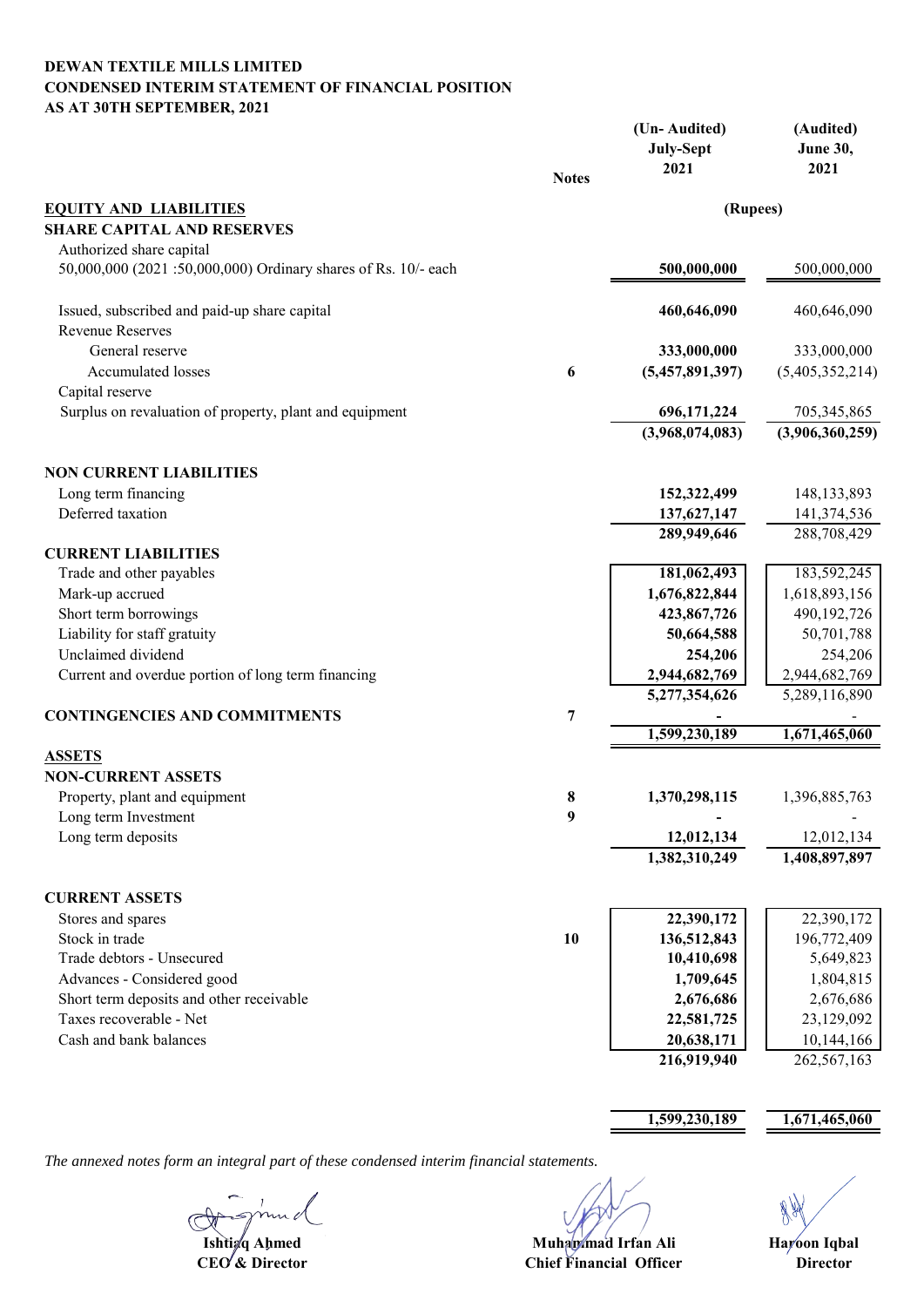# **DEWAN TEXTILE MILLS LIMITED CONDENSED INTERIM STATEMENT OF FINANCIAL POSITION AS AT 30TH SEPTEMBER, 2021**

|                                                               | <b>Notes</b> | (Un-Audited)<br><b>July-Sept</b><br>2021 | (Audited)<br><b>June 30,</b><br>2021 |
|---------------------------------------------------------------|--------------|------------------------------------------|--------------------------------------|
| <b>EQUITY AND LIABILITIES</b>                                 |              | (Rupees)                                 |                                      |
| <b>SHARE CAPITAL AND RESERVES</b>                             |              |                                          |                                      |
| Authorized share capital                                      |              |                                          |                                      |
| 50,000,000 (2021:50,000,000) Ordinary shares of Rs. 10/- each |              | 500,000,000                              | 500,000,000                          |
| Issued, subscribed and paid-up share capital                  |              | 460,646,090                              | 460,646,090                          |
| <b>Revenue Reserves</b>                                       |              |                                          |                                      |
| General reserve                                               |              | 333,000,000                              | 333,000,000                          |
| Accumulated losses                                            | 6            | (5,457,891,397)                          | (5,405,352,214)                      |
| Capital reserve                                               |              |                                          |                                      |
| Surplus on revaluation of property, plant and equipment       |              | 696,171,224                              | 705, 345, 865                        |
|                                                               |              | (3,968,074,083)                          | (3,906,360,259)                      |
| <b>NON CURRENT LIABILITIES</b>                                |              |                                          |                                      |
| Long term financing                                           |              | 152,322,499                              | 148, 133, 893                        |
| Deferred taxation                                             |              | 137,627,147                              | 141,374,536                          |
|                                                               |              | 289,949,646                              | 288,708,429                          |
| <b>CURRENT LIABILITIES</b>                                    |              |                                          |                                      |
| Trade and other payables                                      |              | 181,062,493                              | 183,592,245                          |
| Mark-up accrued                                               |              | 1,676,822,844                            | 1,618,893,156                        |
| Short term borrowings                                         |              | 423,867,726                              | 490,192,726                          |
| Liability for staff gratuity                                  |              | 50,664,588                               | 50,701,788                           |
| Unclaimed dividend                                            |              | 254,206                                  | 254,206                              |
| Current and overdue portion of long term financing            |              | 2,944,682,769                            | 2,944,682,769                        |
|                                                               |              | 5,277,354,626                            | 5,289,116,890                        |
| <b>CONTINGENCIES AND COMMITMENTS</b>                          | 7            |                                          |                                      |
|                                                               |              | 1,599,230,189                            | 1,671,465,060                        |
| <b>ASSETS</b>                                                 |              |                                          |                                      |
| <b>NON-CURRENT ASSETS</b>                                     |              |                                          |                                      |
| Property, plant and equipment                                 | 8            | 1,370,298,115                            | 1,396,885,763                        |
| Long term Investment                                          | 9            |                                          |                                      |
| Long term deposits                                            |              | 12,012,134                               | 12,012,134                           |
|                                                               |              | 1,382,310,249                            | 1,408,897,897                        |
| <b>CURRENT ASSETS</b>                                         |              |                                          |                                      |
| Stores and spares                                             |              | 22,390,172                               | 22,390,172                           |
| Stock in trade                                                | 10           | 136,512,843                              | 196,772,409                          |
| Trade debtors - Unsecured                                     |              | 10,410,698                               | 5,649,823                            |
| Advances - Considered good                                    |              | 1,709,645                                | 1,804,815                            |
| Short term deposits and other receivable                      |              | 2,676,686                                | 2,676,686                            |
| Taxes recoverable - Net                                       |              | 22,581,725                               | 23,129,092                           |
| Cash and bank balances                                        |              | 20,638,171                               | 10,144,166                           |
|                                                               |              | 216,919,940                              | 262,567,163                          |
|                                                               |              |                                          |                                      |
|                                                               |              | 1,599,230,189                            | 1,671,465,060                        |

**Ishti**<sup>d</sup> Ahmed

**Muhammad Irfan Ali** 

Hayoon Iqbal

**CEO & Director Director Chief Financial Officer**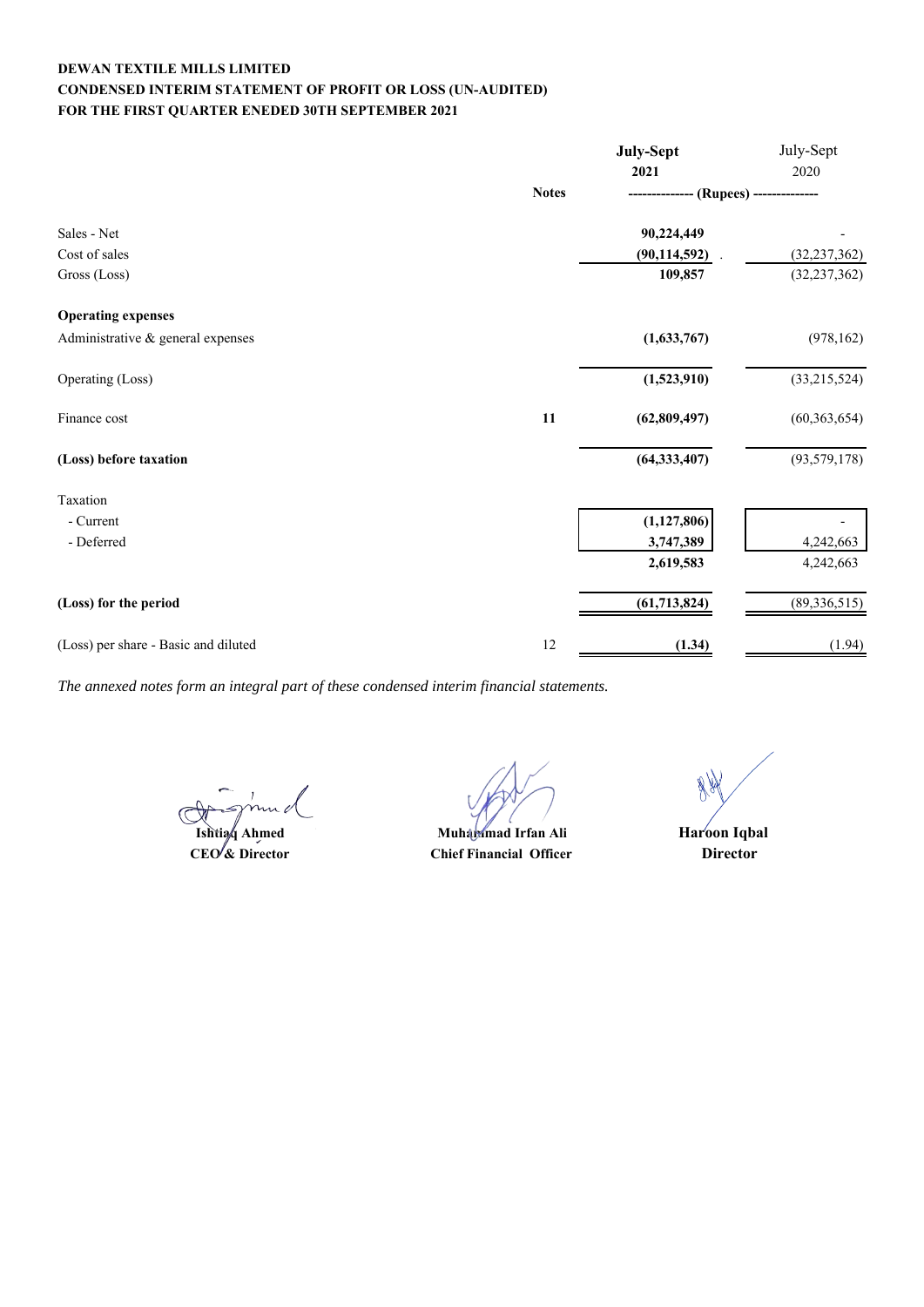# **DEWAN TEXTILE MILLS LIMITED CONDENSED INTERIM STATEMENT OF PROFIT OR LOSS (UN-AUDITED) FOR THE FIRST QUARTER ENEDED 30TH SEPTEMBER 2021**

|                                      |              | July-Sept      | July-Sept      |
|--------------------------------------|--------------|----------------|----------------|
|                                      |              | 2021           | 2020           |
|                                      | <b>Notes</b> | (Rupees) --    |                |
| Sales - Net                          |              | 90,224,449     |                |
| Cost of sales                        |              | (90, 114, 592) | (32, 237, 362) |
| Gross (Loss)                         |              | 109,857        | (32, 237, 362) |
| <b>Operating expenses</b>            |              |                |                |
| Administrative & general expenses    |              | (1,633,767)    | (978, 162)     |
| Operating (Loss)                     |              | (1,523,910)    | (33,215,524)   |
| Finance cost                         | 11           | (62, 809, 497) | (60, 363, 654) |
| (Loss) before taxation               |              | (64, 333, 407) | (93, 579, 178) |
| Taxation                             |              |                |                |
| - Current                            |              | (1, 127, 806)  |                |
| - Deferred                           |              | 3,747,389      | 4,242,663      |
|                                      |              | 2,619,583      | 4,242,663      |
| (Loss) for the period                |              | (61, 713, 824) | (89, 336, 515) |
| (Loss) per share - Basic and diluted | 12           | (1.34)         | (1.94)         |

**Ishtiaq Ahmed**

**CEO & Director Director Chief Financial Officer Muhammad Irfan Ali** 

**Haroon Iqbal**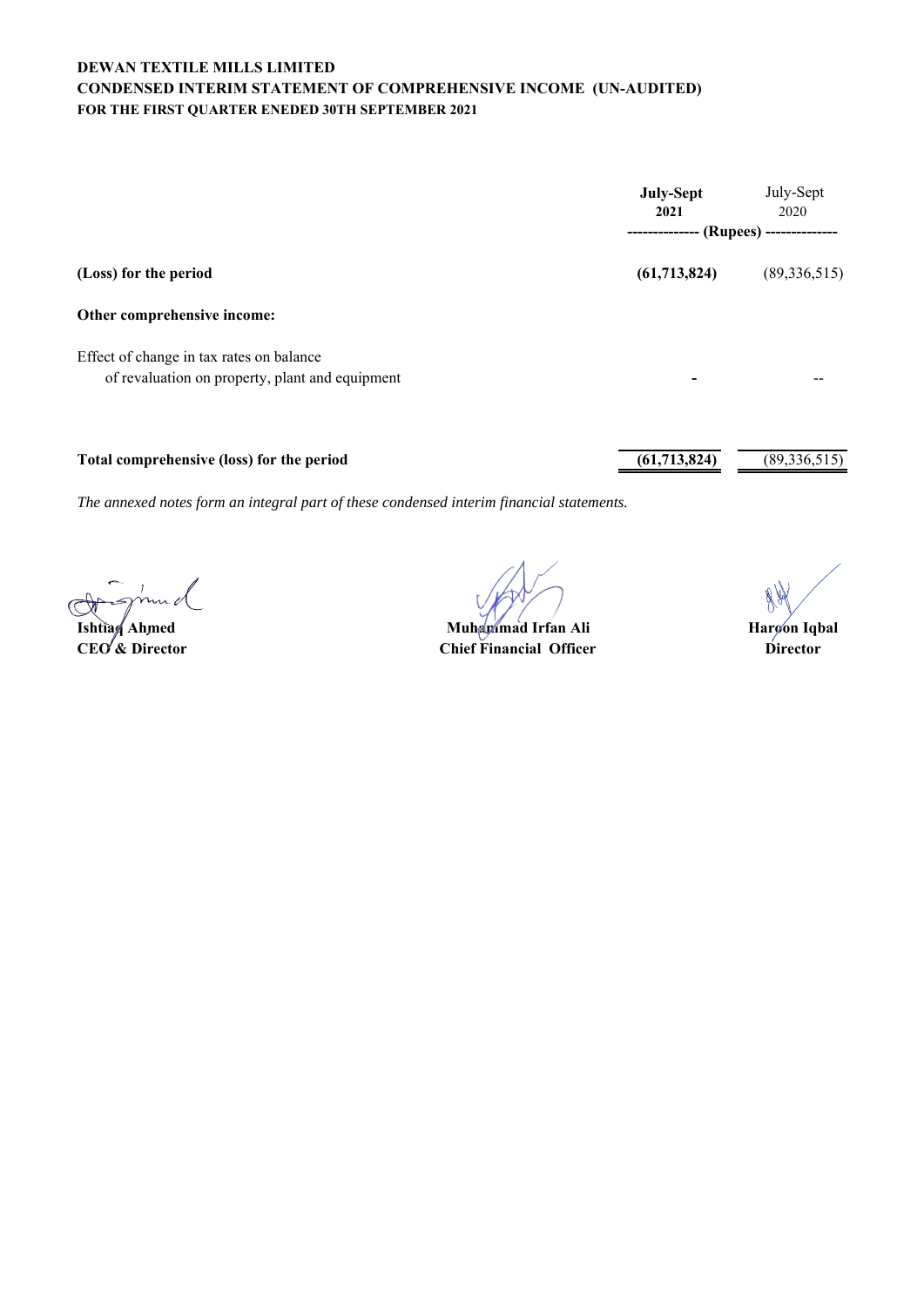# **DEWAN TEXTILE MILLS LIMITED CONDENSED INTERIM STATEMENT OF COMPREHENSIVE INCOME (UN-AUDITED) FOR THE FIRST QUARTER ENEDED 30TH SEPTEMBER 2021**

|                                                 | <b>July-Sept</b><br>2021               | July-Sept<br>2020 |
|-------------------------------------------------|----------------------------------------|-------------------|
|                                                 | -------------- (Rupees) -------------- |                   |
| (Loss) for the period                           | (61,713,824)                           | (89, 336, 515)    |
| Other comprehensive income:                     |                                        |                   |
| Effect of change in tax rates on balance        |                                        |                   |
| of revaluation on property, plant and equipment |                                        |                   |
|                                                 |                                        |                   |
| Total comprehensive (loss) for the period       | (61, 713, 824)                         | (89, 336, 515)    |

**Ishtiaq Ahmed Haroon Iqbal Muhammad Irfan Ali**

**CEO'& Director Director Director Chief Financial Officer Director Director**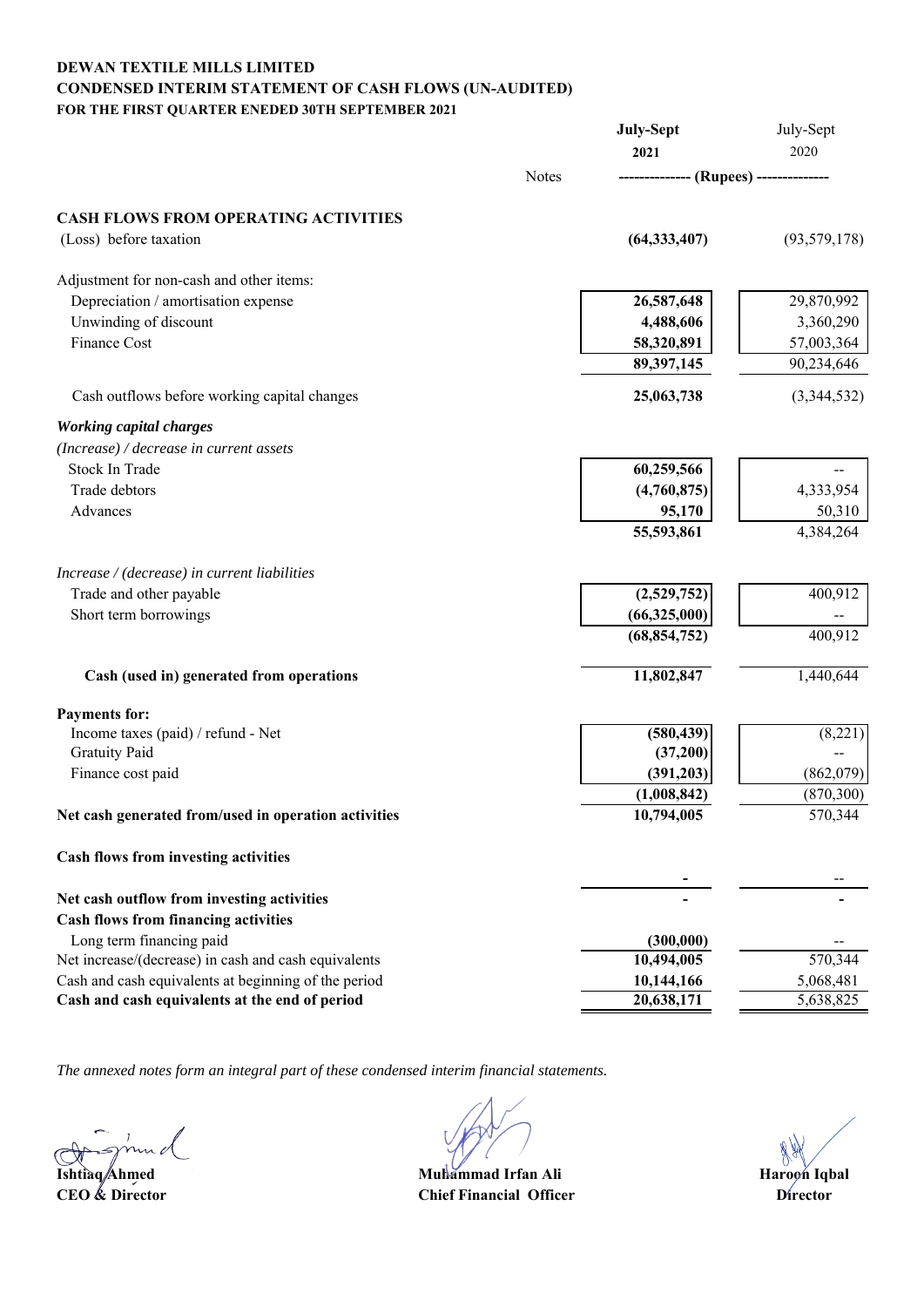# **CONDENSED INTERIM STATEMENT OF CASH FLOWS (UN-AUDITED) FOR THE FIRST QUARTER ENEDED 30TH SEPTEMBER 2021 DEWAN TEXTILE MILLS LIMITED**

|                                                      |              | July-Sept                              | July-Sept      |
|------------------------------------------------------|--------------|----------------------------------------|----------------|
|                                                      |              | 2021                                   | 2020           |
|                                                      | <b>Notes</b> | -------------- (Rupees) -------------- |                |
| <b>CASH FLOWS FROM OPERATING ACTIVITIES</b>          |              |                                        |                |
| (Loss) before taxation                               |              | (64, 333, 407)                         | (93, 579, 178) |
| Adjustment for non-cash and other items:             |              |                                        |                |
| Depreciation / amortisation expense                  |              | 26,587,648                             | 29,870,992     |
| Unwinding of discount                                |              | 4,488,606                              | 3,360,290      |
| Finance Cost                                         |              | 58,320,891                             | 57,003,364     |
|                                                      |              | 89,397,145                             | 90,234,646     |
| Cash outflows before working capital changes         |              | 25,063,738                             | (3,344,532)    |
| <b>Working capital charges</b>                       |              |                                        |                |
| (Increase) / decrease in current assets              |              |                                        |                |
| <b>Stock In Trade</b>                                |              | 60,259,566                             |                |
| Trade debtors                                        |              | (4,760,875)                            | 4,333,954      |
| Advances                                             |              | 95,170                                 | 50,310         |
|                                                      |              | 55,593,861                             | 4,384,264      |
| Increase / (decrease) in current liabilities         |              |                                        |                |
| Trade and other payable                              |              | (2,529,752)                            | 400,912        |
| Short term borrowings                                |              | (66,325,000)                           |                |
|                                                      |              | (68, 854, 752)                         | 400,912        |
| Cash (used in) generated from operations             |              | 11,802,847                             | 1,440,644      |
| <b>Payments for:</b>                                 |              |                                        |                |
| Income taxes (paid) / refund - Net                   |              | (580, 439)                             | (8,221)        |
| <b>Gratuity Paid</b>                                 |              | (37,200)                               |                |
| Finance cost paid                                    |              | (391,203)                              | (862,079)      |
|                                                      |              | (1,008,842)                            | (870, 300)     |
| Net cash generated from/used in operation activities |              | 10,794,005                             | 570,344        |
| Cash flows from investing activities                 |              |                                        |                |
| Net cash outflow from investing activities           |              |                                        |                |
| <b>Cash flows from financing activities</b>          |              |                                        |                |
| Long term financing paid                             |              | (300,000)                              |                |
| Net increase/(decrease) in cash and cash equivalents |              | 10,494,005                             | 570,344        |
| Cash and cash equivalents at beginning of the period |              | 10,144,166                             | 5,068,481      |
| Cash and cash equivalents at the end of period       |              | 20,638,171                             | 5,638,825      |
|                                                      |              |                                        |                |

**Ishtiaq Ahmed Haroon Iqbal Muhammad Irfan Ali CEO & Director Director Chief Financial Officer**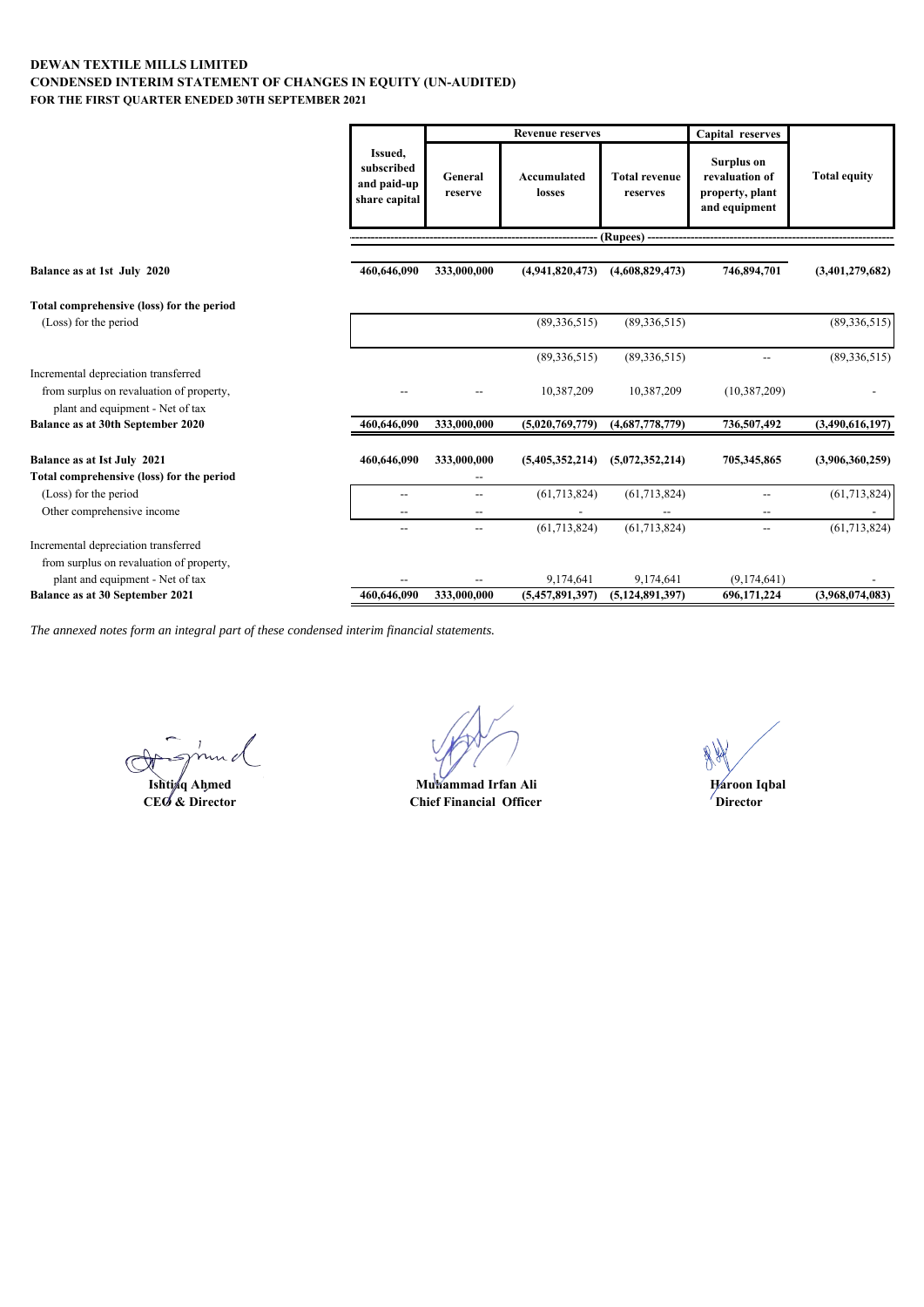# **FOR THE FIRST QUARTER ENEDED 30TH SEPTEMBER 2021 DEWAN TEXTILE MILLS LIMITED CONDENSED INTERIM STATEMENT OF CHANGES IN EQUITY (UN-AUDITED)**

|                                                                                                                      |                                                       |                                         | <b>Revenue reserves</b> |                                  | Capital reserves                                                 |                     |
|----------------------------------------------------------------------------------------------------------------------|-------------------------------------------------------|-----------------------------------------|-------------------------|----------------------------------|------------------------------------------------------------------|---------------------|
|                                                                                                                      | Issued,<br>subscribed<br>and paid-up<br>share capital | General<br>reserve                      | Accumulated<br>losses   | <b>Total revenue</b><br>reserves | Surplus on<br>revaluation of<br>property, plant<br>and equipment | <b>Total equity</b> |
|                                                                                                                      |                                                       |                                         |                         | (Rupees) -                       |                                                                  |                     |
| Balance as at 1st July 2020                                                                                          | 460,646,090                                           | 333,000,000                             | (4,941,820,473)         | (4,608,829,473)                  | 746,894,701                                                      | (3,401,279,682)     |
| Total comprehensive (loss) for the period                                                                            |                                                       |                                         |                         |                                  |                                                                  |                     |
| (Loss) for the period                                                                                                |                                                       |                                         | (89, 336, 515)          | (89, 336, 515)                   |                                                                  | (89, 336, 515)      |
|                                                                                                                      |                                                       |                                         | (89, 336, 515)          | (89, 336, 515)                   | $\overline{a}$                                                   | (89, 336, 515)      |
| Incremental depreciation transferred<br>from surplus on revaluation of property,<br>plant and equipment - Net of tax |                                                       |                                         | 10,387,209              | 10,387,209                       | (10, 387, 209)                                                   |                     |
| Balance as at 30th September 2020                                                                                    | 460,646,090                                           | 333,000,000                             | (5,020,769,779)         | (4,687,778,779)                  | 736,507,492                                                      | (3,490,616,197)     |
| Balance as at Ist July 2021<br>Total comprehensive (loss) for the period                                             | 460,646,090                                           | 333,000,000<br>$\overline{\phantom{a}}$ | (5,405,352,214)         | (5,072,352,214)                  | 705,345,865                                                      | (3,906,360,259)     |
| (Loss) for the period<br>Other comprehensive income                                                                  | --                                                    | $\overline{\phantom{a}}$                | (61,713,824)            | (61,713,824)                     | $\overline{\phantom{a}}$<br>--                                   | (61, 713, 824)      |
|                                                                                                                      |                                                       | $\overline{\phantom{a}}$                | (61, 713, 824)          | (61, 713, 824)                   | $\overline{\phantom{a}}$                                         | (61, 713, 824)      |
| Incremental depreciation transferred<br>from surplus on revaluation of property,                                     |                                                       |                                         |                         |                                  |                                                                  |                     |
| plant and equipment - Net of tax                                                                                     |                                                       |                                         | 9,174,641               | 9,174,641                        | (9,174,641)                                                      |                     |
| Balance as at 30 September 2021                                                                                      | 460,646,090                                           | 333,000,000                             | (5,457,891,397)         | (5, 124, 891, 397)               | 696,171,224                                                      | (3,968,074,083)     |

 $\sim \nu$ C

**Ishti**ng Ahmed<br>CEO & Director

**CEO & Director Director Chief Financial Officer Muhammad Irfan Ali Haroon Iqbal**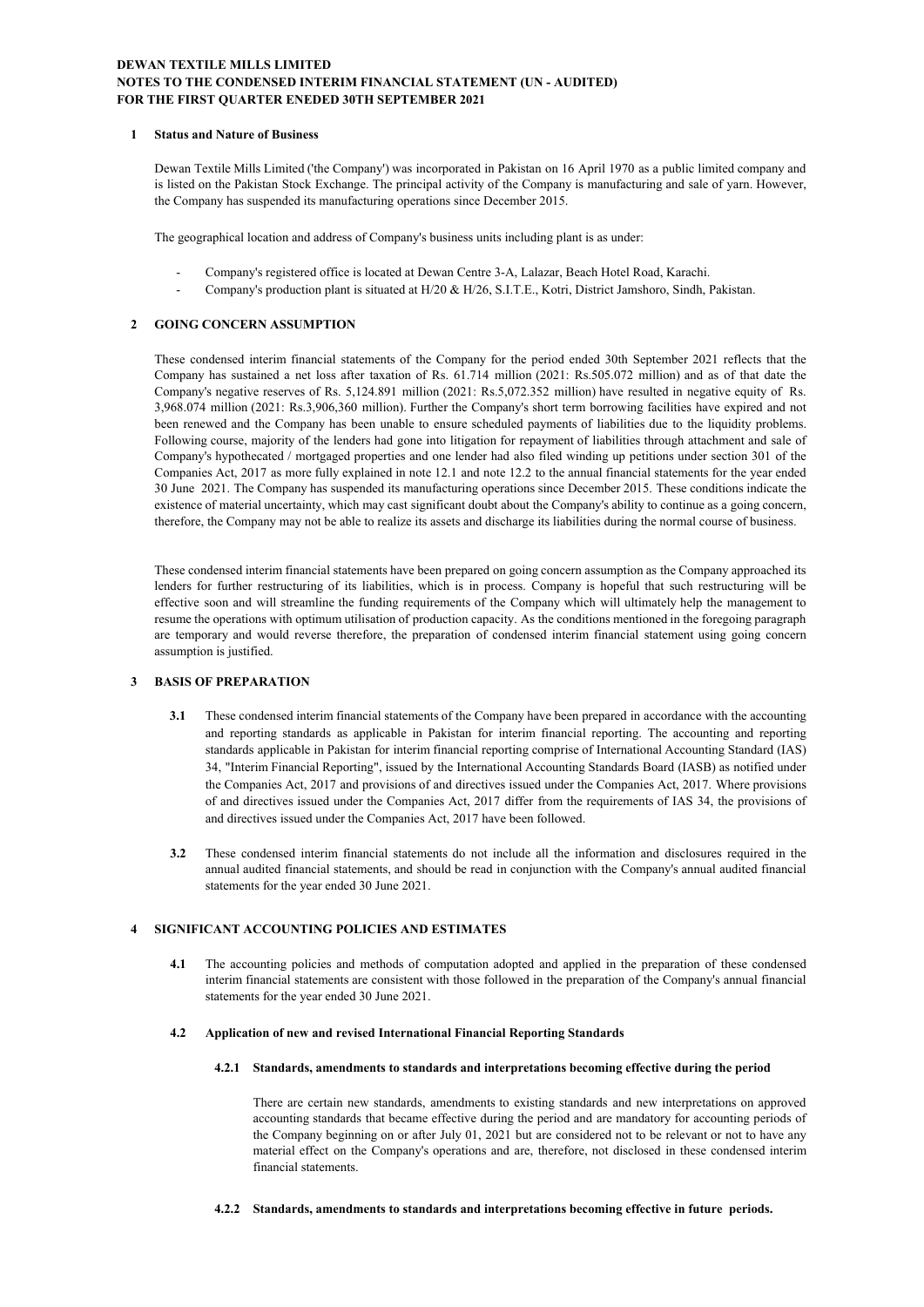# **DEWAN TEXTILE MILLS LIMITED NOTES TO THE CONDENSED INTERIM FINANCIAL STATEMENT (UN - AUDITED) FOR THE FIRST QUARTER ENEDED 30TH SEPTEMBER 2021**

#### **1 Status and Nature of Business**

Dewan Textile Mills Limited ('the Company') was incorporated in Pakistan on 16 April 1970 as a public limited company and is listed on the Pakistan Stock Exchange. The principal activity of the Company is manufacturing and sale of yarn. However, the Company has suspended its manufacturing operations since December 2015.

The geographical location and address of Company's business units including plant is as under:

- Company's registered office is located at Dewan Centre 3-A, Lalazar, Beach Hotel Road, Karachi.
- Company's production plant is situated at H/20 & H/26, S.I.T.E., Kotri, District Jamshoro, Sindh, Pakistan.

# **2 GOING CONCERN ASSUMPTION**

These condensed interim financial statements of the Company for the period ended 30th September 2021 reflects that the Company has sustained a net loss after taxation of Rs. 61.714 million (2021: Rs.505.072 million) and as of that date the Company's negative reserves of Rs. 5,124.891 million (2021: Rs.5,072.352 million) have resulted in negative equity of Rs. 3,968.074 million (2021: Rs.3,906,360 million). Further the Company's short term borrowing facilities have expired and not been renewed and the Company has been unable to ensure scheduled payments of liabilities due to the liquidity problems. Following course, majority of the lenders had gone into litigation for repayment of liabilities through attachment and sale of Company's hypothecated / mortgaged properties and one lender had also filed winding up petitions under section 301 of the Companies Act, 2017 as more fully explained in note 12.1 and note 12.2 to the annual financial statements for the year ended 30 June 2021. The Company has suspended its manufacturing operations since December 2015. These conditions indicate the existence of material uncertainty, which may cast significant doubt about the Company's ability to continue as a going concern, therefore, the Company may not be able to realize its assets and discharge its liabilities during the normal course of business.

These condensed interim financial statements have been prepared on going concern assumption as the Company approached its lenders for further restructuring of its liabilities, which is in process. Company is hopeful that such restructuring will be effective soon and will streamline the funding requirements of the Company which will ultimately help the management to resume the operations with optimum utilisation of production capacity. As the conditions mentioned in the foregoing paragraph are temporary and would reverse therefore, the preparation of condensed interim financial statement using going concern assumption is justified.

# **3 BASIS OF PREPARATION**

- **3.1** These condensed interim financial statements of the Company have been prepared in accordance with the accounting and reporting standards as applicable in Pakistan for interim financial reporting. The accounting and reporting standards applicable in Pakistan for interim financial reporting comprise of International Accounting Standard (IAS) 34, "Interim Financial Reporting", issued by the International Accounting Standards Board (IASB) as notified under the Companies Act, 2017 and provisions of and directives issued under the Companies Act, 2017. Where provisions of and directives issued under the Companies Act, 2017 differ from the requirements of IAS 34, the provisions of and directives issued under the Companies Act, 2017 have been followed.
- **3.2** These condensed interim financial statements do not include all the information and disclosures required in the annual audited financial statements, and should be read in conjunction with the Company's annual audited financial statements for the year ended 30 June 2021.

# **4 SIGNIFICANT ACCOUNTING POLICIES AND ESTIMATES**

**4.1** The accounting policies and methods of computation adopted and applied in the preparation of these condensed interim financial statements are consistent with those followed in the preparation of the Company's annual financial statements for the year ended 30 June 2021.

## **4.2 Application of new and revised International Financial Reporting Standards**

#### **4.2.1 Standards, amendments to standards and interpretations becoming effective during the period**

There are certain new standards, amendments to existing standards and new interpretations on approved accounting standards that became effective during the period and are mandatory for accounting periods of the Company beginning on or after July 01, 2021 but are considered not to be relevant or not to have any material effect on the Company's operations and are, therefore, not disclosed in these condensed interim financial statements.

#### **4.2.2 Standards, amendments to standards and interpretations becoming effective in future periods.**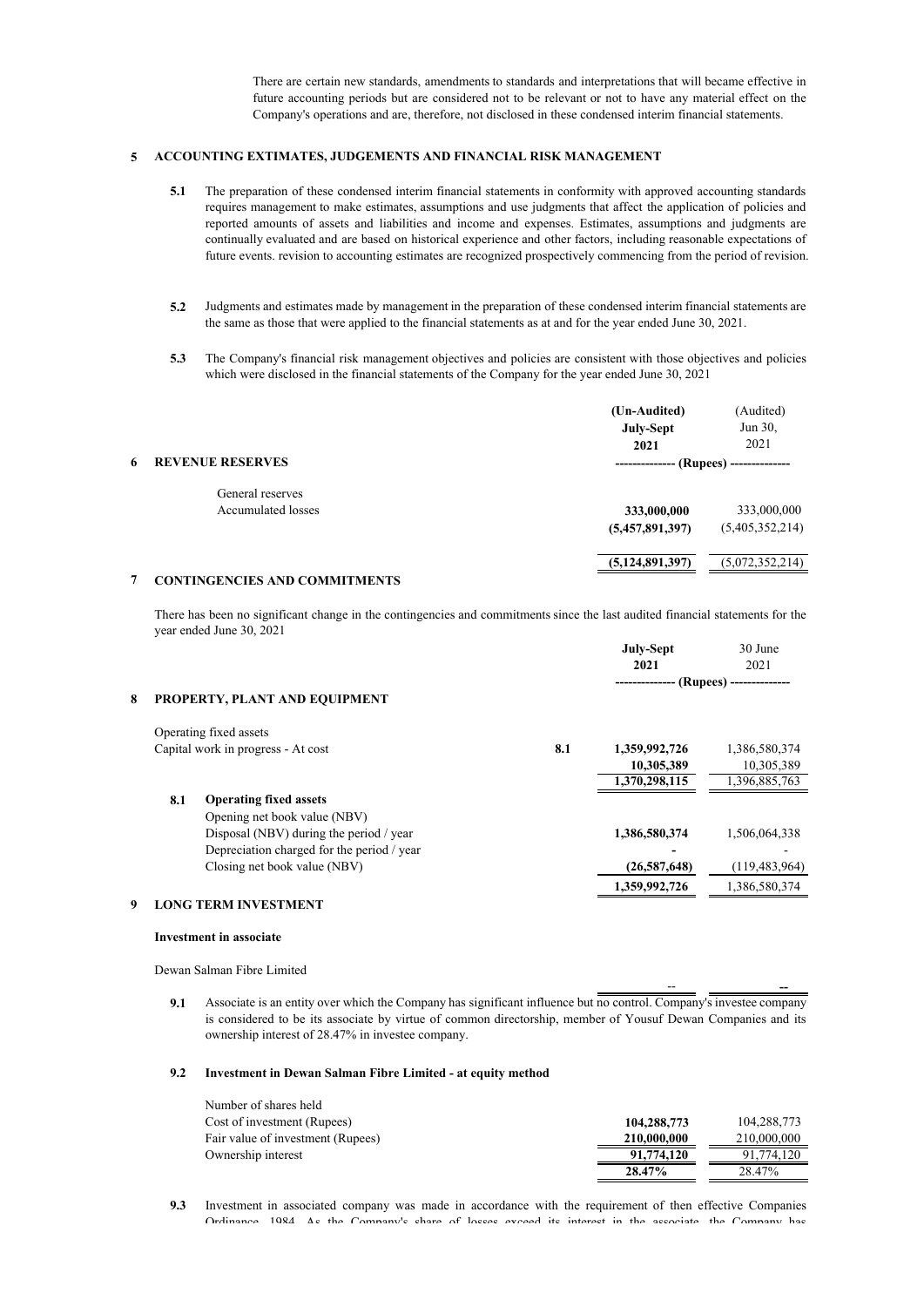There are certain new standards, amendments to standards and interpretations that will became effective in future accounting periods but are considered not to be relevant or not to have any material effect on the Company's operations and are, therefore, not disclosed in these condensed interim financial statements.

# **5 ACCOUNTING EXTIMATES, JUDGEMENTS AND FINANCIAL RISK MANAGEMENT**

- **5.1** The preparation of these condensed interim financial statements in conformity with approved accounting standards requires management to make estimates, assumptions and use judgments that affect the application of policies and reported amounts of assets and liabilities and income and expenses. Estimates, assumptions and judgments are continually evaluated and are based on historical experience and other factors, including reasonable expectations of future events. revision to accounting estimates are recognized prospectively commencing from the period of revision.
- **5.2** Judgments and estimates made by management in the preparation of these condensed interim financial statements are the same as those that were applied to the financial statements as at and for the year ended June 30, 2021.
- **5.3** The Company's financial risk management objectives and policies are consistent with those objectives and policies which were disclosed in the financial statements of the Company for the year ended June 30, 2021

|   |                               | (Un-Audited)       | (Audited)              |
|---|-------------------------------|--------------------|------------------------|
|   |                               | July-Sept          | Jun 30,                |
|   |                               | 2021               | 2021                   |
| 6 | <b>REVENUE RESERVES</b>       | ---------------    | (Rupees) ------------- |
|   | General reserves              |                    |                        |
|   | Accumulated losses            | 333,000,000        | 333,000,000            |
|   |                               | (5,457,891,397)    | (5,405,352,214)        |
|   |                               | (5, 124, 891, 397) | (5,072,352,214)        |
|   | CONTINGENGIES AND COMMITMENTS |                    |                        |

#### **7 CONTINGENCIES AND COMMITMENTS**

There has been no significant change in the contingencies and commitments since the last audited financial statements for the year ended June 30, 2021

|   |     |                                            |     | <b>July-Sept</b><br>2021   | 30 June<br>2021 |
|---|-----|--------------------------------------------|-----|----------------------------|-----------------|
| 8 |     | PROPERTY, PLANT AND EQUIPMENT              |     | -- (Rupees) -------------- |                 |
|   |     | Operating fixed assets                     |     |                            |                 |
|   |     | Capital work in progress - At cost         | 8.1 | 1,359,992,726              | 1,386,580,374   |
|   |     |                                            |     | 10,305,389                 | 10,305,389      |
|   |     |                                            |     | 1,370,298,115              | 1,396,885,763   |
|   | 8.1 | <b>Operating fixed assets</b>              |     |                            |                 |
|   |     | Opening net book value (NBV)               |     |                            |                 |
|   |     | Disposal (NBV) during the period / year    |     | 1,386,580,374              | 1,506,064,338   |
|   |     | Depreciation charged for the period / year |     |                            |                 |
|   |     | Closing net book value (NBV)               |     | (26,587,648)               | (119, 483, 964) |
|   |     |                                            |     | 1,359,992,726              | 1,386,580,374   |

# **9 LONG TERM INVESTMENT**

#### **Investment in associate**

Dewan Salman Fibre Limited

**9.1** Associate is an entity over which the Company has significant influence but  $\overline{no\ control}$ . Company's investee company is considered to be its associate by virtue of common directorship, member of Yousuf Dewan Companies and its ownership interest of 28.47% in investee company.

-- **--** 

## **9.2 Investment in Dewan Salman Fibre Limited - at equity method**

| Number of shares held             |             |             |
|-----------------------------------|-------------|-------------|
| Cost of investment (Rupees)       | 104,288,773 | 104,288,773 |
| Fair value of investment (Rupees) | 210,000,000 | 210,000,000 |
| Ownership interest                | 91,774,120  | 91,774,120  |
|                                   | 28.47%      | 28.47%      |

**9.3** Investment in associated company was made in accordance with the requirement of then effective Companies Ordinance 1984 As the Company's share of losses exceed its interest in the associate the Company has